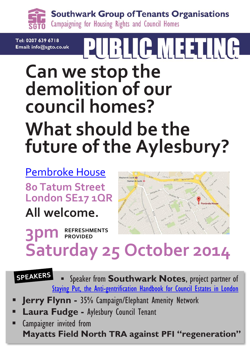**Southwark Group of Tenants Organisations** Campaigning for Housing Rights and Council Homes

Tel: 0207 639 6718 Email: info@sgto.co.uk

# **PUBLIC MEETING**

## **Can we stop the demolition of our council homes? What should be the future of the Aylesbury?**

[Pembroke House](https://goo.gl/maps/RXc85) **80 Tatum Street London SE17 1QR**

**All welcome.**

**3pm REFRESHMENTS PROVIDED**



## **Saturday 25 October 2014**

**SPEAKERS**  Speaker from **Southwark Notes**, project partner of [Staying Put, the Anti-gentrification Handbook for Council Estates in London](https://southwarknotes.files.wordpress.com/2014/06/staying-put-web-version.pdf)

- **Jerry Flynn -** 35% Campaign/Elephant Amenity Network
- **Laura Fudge -** Aylesbury Council Tenant
- Campaigner invited from **Mayatts Field North TRA against PFI "regeneration"**